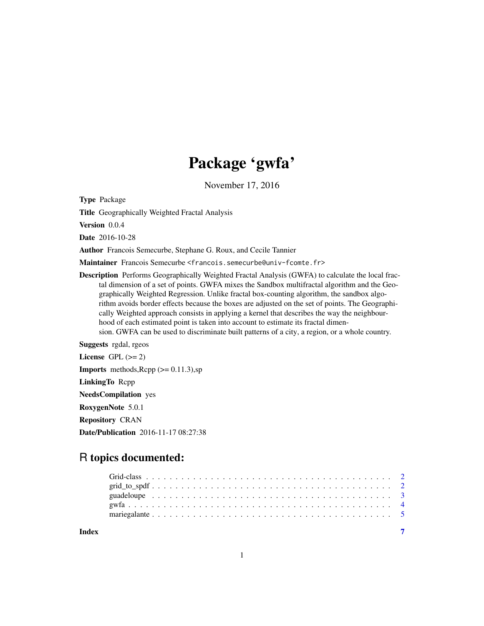## Package 'gwfa'

November 17, 2016

Type Package

Title Geographically Weighted Fractal Analysis

Version 0.0.4

Date 2016-10-28

Author Francois Semecurbe, Stephane G. Roux, and Cecile Tannier

Maintainer Francois Semecurbe <francois.semecurbe@univ-fcomte.fr>

Description Performs Geographically Weighted Fractal Analysis (GWFA) to calculate the local fractal dimension of a set of points. GWFA mixes the Sandbox multifractal algorithm and the Geographically Weighted Regression. Unlike fractal box-counting algorithm, the sandbox algorithm avoids border effects because the boxes are adjusted on the set of points. The Geographically Weighted approach consists in applying a kernel that describes the way the neighbourhood of each estimated point is taken into account to estimate its fractal dimension. GWFA can be used to discriminate built patterns of a city, a region, or a whole country.

Suggests rgdal, rgeos

License GPL  $(>= 2)$ **Imports** methods,  $\text{Rcpp}$  ( $>= 0.11.3$ ), sp LinkingTo Rcpp NeedsCompilation yes RoxygenNote 5.0.1 Repository CRAN Date/Publication 2016-11-17 08:27:38

### R topics documented: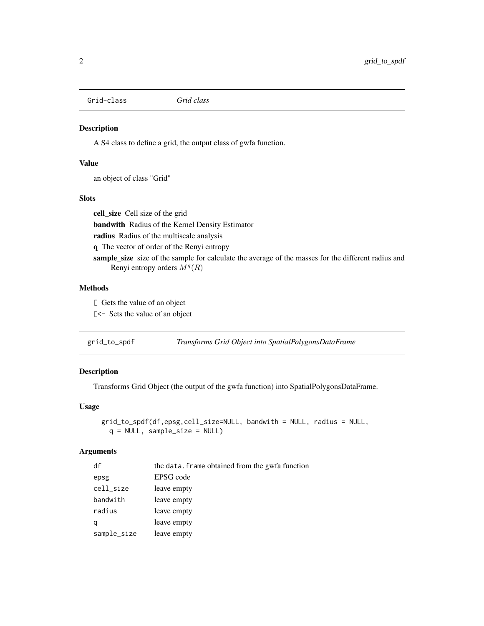<span id="page-1-0"></span>Grid-class *Grid class*

#### Description

A S4 class to define a grid, the output class of gwfa function.

#### Value

an object of class "Grid"

#### **Slots**

cell\_size Cell size of the grid bandwith Radius of the Kernel Density Estimator radius Radius of the multiscale analysis q The vector of order of the Renyi entropy sample\_size size of the sample for calculate the average of the masses for the different radius and Renyi entropy orders  $M<sup>q</sup>(R)$ 

#### Methods

[ Gets the value of an object

[<- Sets the value of an object

| grid_to_spdf | Transforms Grid Object into SpatialPolygonsDataFrame |  |
|--------------|------------------------------------------------------|--|
|              |                                                      |  |

#### Description

Transforms Grid Object (the output of the gwfa function) into SpatialPolygonsDataFrame.

#### Usage

```
grid_to_spdf(df,epsg,cell_size=NULL, bandwith = NULL, radius = NULL,
 q = NULL, sample_size = NULL)
```
#### Arguments

| df          | the data. Frame obtained from the gwfa function |
|-------------|-------------------------------------------------|
| epsg        | EPSG code                                       |
| cell_size   | leave empty                                     |
| bandwith    | leave empty                                     |
| radius      | leave empty                                     |
| q           | leave empty                                     |
| sample_size | leave empty                                     |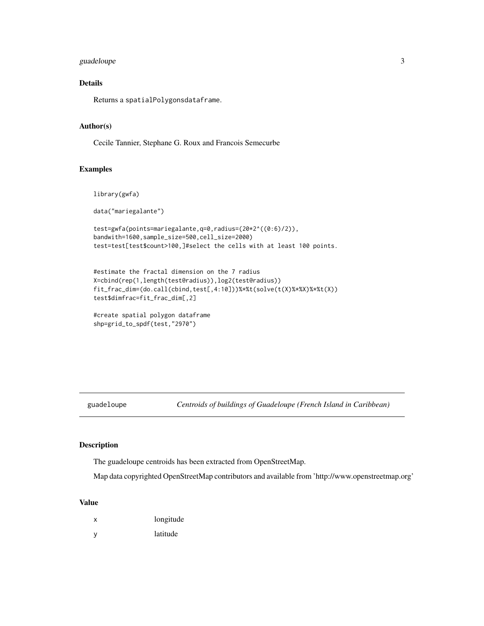#### <span id="page-2-0"></span>guadeloupe 3

#### Details

Returns a spatialPolygonsdataframe.

#### Author(s)

Cecile Tannier, Stephane G. Roux and Francois Semecurbe

#### Examples

```
library(gwfa)
```
data("mariegalante")

```
test=gwfa(points=mariegalante,q=0,radius=(20*2^((0:6)/2)),
bandwith=1600,sample_size=500,cell_size=2000)
test=test[test$count>100,]#select the cells with at least 100 points.
```

```
#estimate the fractal dimension on the 7 radius
X=cbind(rep(1,length(test@radius)),log2(test@radius))
fit_frac_dim=(do.call(cbind,test[,4:10]))%*%t(solve(t(X)%*%X)%*%t(X))
test$dimfrac=fit_frac_dim[,2]
```

```
#create spatial polygon dataframe
shp=grid_to_spdf(test,"2970")
```
guadeloupe *Centroids of buildings of Guadeloupe (French Island in Caribbean)*

#### Description

The guadeloupe centroids has been extracted from OpenStreetMap.

Map data copyrighted OpenStreetMap contributors and available from 'http://www.openstreetmap.org'

#### Value

- x longitude
- y latitude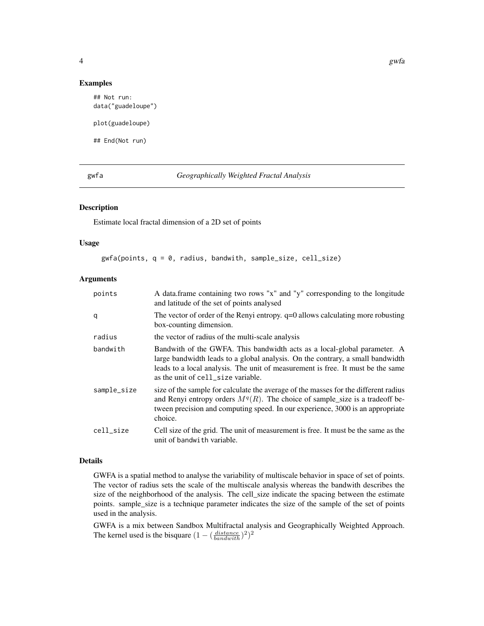#### <span id="page-3-0"></span>Examples

```
## Not run:
data("guadeloupe")
plot(guadeloupe)
## End(Not run)
```
#### gwfa *Geographically Weighted Fractal Analysis*

#### Description

Estimate local fractal dimension of a 2D set of points

#### Usage

gwfa(points, q = 0, radius, bandwith, sample\_size, cell\_size)

#### Arguments

| points      | A data.frame containing two rows "x" and "y" corresponding to the longitude<br>and latitude of the set of points analysed                                                                                                                                                           |
|-------------|-------------------------------------------------------------------------------------------------------------------------------------------------------------------------------------------------------------------------------------------------------------------------------------|
| q           | The vector of order of the Renyi entropy. $q=0$ allows calculating more robusting<br>box-counting dimension.                                                                                                                                                                        |
| radius      | the vector of radius of the multi-scale analysis                                                                                                                                                                                                                                    |
| bandwith    | Bandwith of the GWFA. This bandwidth acts as a local-global parameter. A<br>large bandwidth leads to a global analysis. On the contrary, a small bandwidth<br>leads to a local analysis. The unit of measurement is free. It must be the same<br>as the unit of cell_size variable. |
| sample_size | size of the sample for calculate the average of the masses for the different radius<br>and Renyi entropy orders $Mq(R)$ . The choice of sample_size is a tradeoff be-<br>tween precision and computing speed. In our experience, 3000 is an appropriate<br>choice.                  |
| cell size   | Cell size of the grid. The unit of measurement is free. It must be the same as the<br>unit of bandwith variable.                                                                                                                                                                    |

#### Details

GWFA is a spatial method to analyse the variability of multiscale behavior in space of set of points. The vector of radius sets the scale of the multiscale analysis whereas the bandwith describes the size of the neighborhood of the analysis. The cell\_size indicate the spacing between the estimate points. sample\_size is a technique parameter indicates the size of the sample of the set of points used in the analysis.

GWFA is a mix between Sandbox Multifractal analysis and Geographically Weighted Approach. The kernel used is the bisquare  $(1 - (\frac{distance}{bandwith})^2)^2$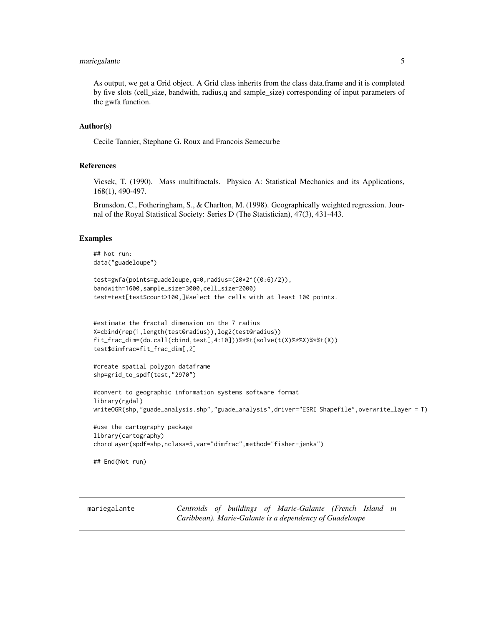#### <span id="page-4-0"></span>mariegalante 5

As output, we get a Grid object. A Grid class inherits from the class data.frame and it is completed by five slots (cell\_size, bandwith, radius,q and sample\_size) corresponding of input parameters of the gwfa function.

#### Author(s)

Cecile Tannier, Stephane G. Roux and Francois Semecurbe

#### References

Vicsek, T. (1990). Mass multifractals. Physica A: Statistical Mechanics and its Applications, 168(1), 490-497.

Brunsdon, C., Fotheringham, S., & Charlton, M. (1998). Geographically weighted regression. Journal of the Royal Statistical Society: Series D (The Statistician), 47(3), 431-443.

#### Examples

```
## Not run:
data("guadeloupe")
```

```
test=gwfa(points=guadeloupe,q=0,radius=(20*2^((0:6)/2)),
bandwith=1600,sample_size=3000,cell_size=2000)
test=test[test$count>100,]#select the cells with at least 100 points.
```

```
#estimate the fractal dimension on the 7 radius
X=cbind(rep(1,length(test@radius)),log2(test@radius))
fit_frac_dim=(do.call(cbind,test[,4:10]))%*%t(solve(t(X)%*%X)%*%t(X))
test$dimfrac=fit_frac_dim[,2]
```

```
#create spatial polygon dataframe
shp=grid_to_spdf(test,"2970")
```

```
#convert to geographic information systems software format
library(rgdal)
writeOGR(shp,"guade_analysis.shp","guade_analysis",driver="ESRI Shapefile",overwrite_layer = T)
```

```
#use the cartography package
library(cartography)
choroLayer(spdf=shp,nclass=5,var="dimfrac",method="fisher-jenks")
```

```
## End(Not run)
```
mariegalante *Centroids of buildings of Marie-Galante (French Island in Caribbean). Marie-Galante is a dependency of Guadeloupe*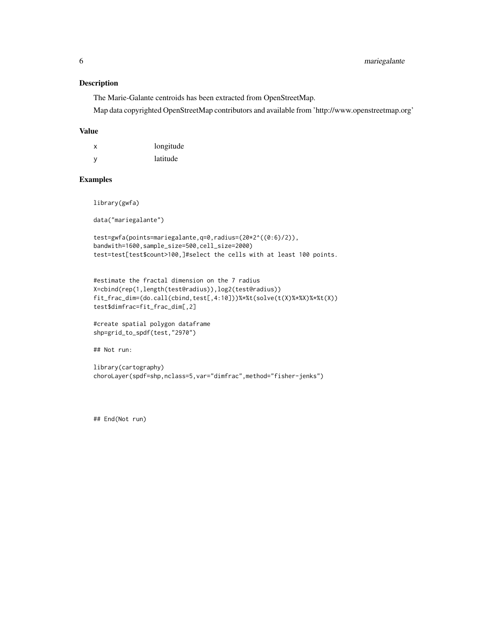#### Description

The Marie-Galante centroids has been extracted from OpenStreetMap.

Map data copyrighted OpenStreetMap contributors and available from 'http://www.openstreetmap.org'

#### Value

| X | longitude |
|---|-----------|
| У | latitude  |

#### Examples

library(gwfa)

data("mariegalante")

```
test=gwfa(points=mariegalante,q=0,radius=(20*2^((0:6)/2)),
bandwith=1600,sample_size=500,cell_size=2000)
test=test[test$count>100,]#select the cells with at least 100 points.
```

```
#estimate the fractal dimension on the 7 radius
X=cbind(rep(1,length(test@radius)),log2(test@radius))
fit_frac_dim=(do.call(cbind,test[,4:10]))%*%t(solve(t(X)%*%X)%*%t(X))
test$dimfrac=fit_frac_dim[,2]
```

```
#create spatial polygon dataframe
shp=grid_to_spdf(test,"2970")
```
## Not run:

```
library(cartography)
choroLayer(spdf=shp,nclass=5,var="dimfrac",method="fisher-jenks")
```
## End(Not run)